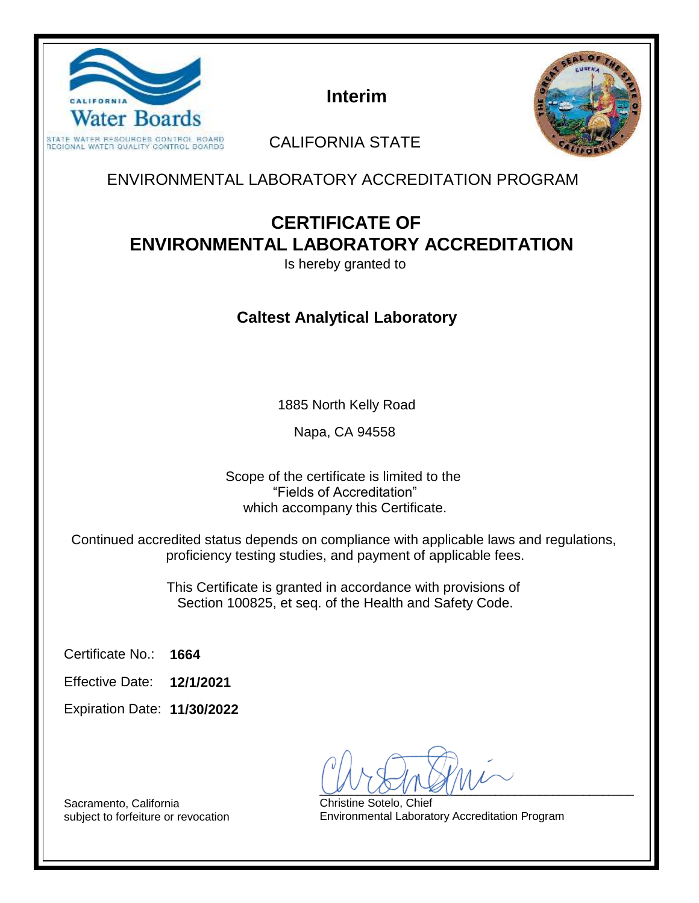

**Interim**



CALIFORNIA STATE

ENVIRONMENTAL LABORATORY ACCREDITATION PROGRAM

# **CERTIFICATE OF ENVIRONMENTAL LABORATORY ACCREDITATION**

Is hereby granted to

## **Caltest Analytical Laboratory**

1885 North Kelly Road

Napa, CA 94558

Scope of the certificate is limited to the "Fields of Accreditation" which accompany this Certificate.

Continued accredited status depends on compliance with applicable laws and regulations, proficiency testing studies, and payment of applicable fees.

> This Certificate is granted in accordance with provisions of Section 100825, et seq. of the Health and Safety Code.

**1664** Certificate No.:

**12/1/2021** Effective Date:

**11/30/2022** Expiration Date:

 $U \cup U \cup V$ 

Christine Sotelo, Chief Environmental Laboratory Accreditation Program

Sacramento, California subject to forfeiture or revocation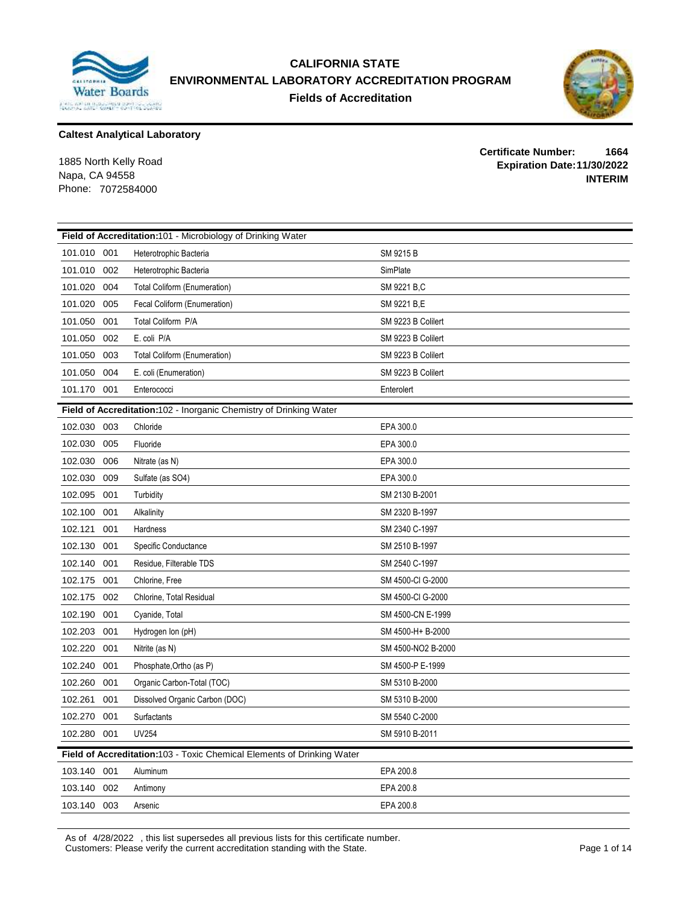

### **CALIFORNIA STATE ENVIRONMENTAL LABORATORY ACCREDITATION PROGRAM Fields of Accreditation**



#### **Caltest Analytical Laboratory**

Napa, CA 94558 Phone: 7072584000

**Certificate Number: 1664 Expiration Date:11/30/2022** 1885 North Kelly Road **INTERIM**

| Field of Accreditation:101 - Microbiology of Drinking Water |     |                                                                         |                    |  |  |
|-------------------------------------------------------------|-----|-------------------------------------------------------------------------|--------------------|--|--|
| 101.010 001                                                 |     | Heterotrophic Bacteria                                                  | SM 9215 B          |  |  |
| 101.010 002                                                 |     | Heterotrophic Bacteria                                                  | SimPlate           |  |  |
| 101.020                                                     | 004 | <b>Total Coliform (Enumeration)</b>                                     | SM 9221 B.C        |  |  |
| 101.020                                                     | 005 | Fecal Coliform (Enumeration)                                            | SM 9221 B,E        |  |  |
| 101.050                                                     | 001 | Total Coliform P/A                                                      | SM 9223 B Colilert |  |  |
| 101.050                                                     | 002 | E. coli P/A                                                             | SM 9223 B Colilert |  |  |
| 101.050                                                     | 003 | <b>Total Coliform (Enumeration)</b>                                     | SM 9223 B Colilert |  |  |
| 101.050                                                     | 004 | E. coli (Enumeration)                                                   | SM 9223 B Colilert |  |  |
| 101.170 001                                                 |     | Enterococci                                                             | Enterolert         |  |  |
|                                                             |     | Field of Accreditation:102 - Inorganic Chemistry of Drinking Water      |                    |  |  |
| 102.030                                                     | 003 | Chloride                                                                | EPA 300.0          |  |  |
| 102.030                                                     | 005 | Fluoride                                                                | EPA 300.0          |  |  |
| 102.030                                                     | 006 | Nitrate (as N)                                                          | EPA 300.0          |  |  |
| 102.030                                                     | 009 | Sulfate (as SO4)                                                        | EPA 300.0          |  |  |
| 102.095                                                     | 001 | Turbidity                                                               | SM 2130 B-2001     |  |  |
| 102.100                                                     | 001 | Alkalinity                                                              | SM 2320 B-1997     |  |  |
| 102.121                                                     | 001 | Hardness                                                                | SM 2340 C-1997     |  |  |
| 102.130                                                     | 001 | Specific Conductance                                                    | SM 2510 B-1997     |  |  |
| 102.140                                                     | 001 | Residue, Filterable TDS                                                 | SM 2540 C-1997     |  |  |
| 102.175                                                     | 001 | Chlorine, Free                                                          | SM 4500-CI G-2000  |  |  |
| 102.175                                                     | 002 | Chlorine, Total Residual                                                | SM 4500-CI G-2000  |  |  |
| 102.190                                                     | 001 | Cyanide, Total                                                          | SM 4500-CN E-1999  |  |  |
| 102.203                                                     | 001 | Hydrogen lon (pH)                                                       | SM 4500-H+ B-2000  |  |  |
| 102.220                                                     | 001 | Nitrite (as N)                                                          | SM 4500-NO2 B-2000 |  |  |
| 102.240                                                     | 001 | Phosphate, Ortho (as P)                                                 | SM 4500-P E-1999   |  |  |
| 102.260                                                     | 001 | Organic Carbon-Total (TOC)                                              | SM 5310 B-2000     |  |  |
| 102.261                                                     | 001 | Dissolved Organic Carbon (DOC)                                          | SM 5310 B-2000     |  |  |
| 102.270                                                     | 001 | Surfactants                                                             | SM 5540 C-2000     |  |  |
| 102.280 001                                                 |     | <b>UV254</b>                                                            | SM 5910 B-2011     |  |  |
|                                                             |     | Field of Accreditation: 103 - Toxic Chemical Elements of Drinking Water |                    |  |  |
| 103.140                                                     | 001 | Aluminum                                                                | EPA 200.8          |  |  |
| 103.140                                                     | 002 | Antimony                                                                | EPA 200.8          |  |  |
| 103.140 003                                                 |     | Arsenic                                                                 | EPA 200.8          |  |  |

As of 4/28/2022 , this list supersedes all previous lists for this certificate number. Customers: Please verify the current accreditation standing with the State. Page 1 of 14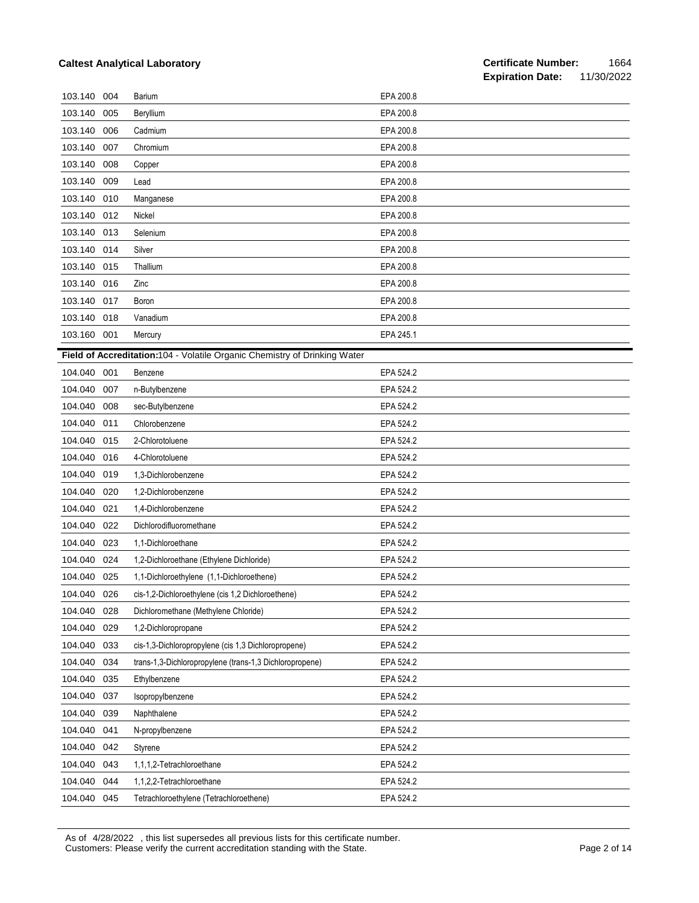| 103.140     | 004 | Barium                                                                    | EPA 200.8 |
|-------------|-----|---------------------------------------------------------------------------|-----------|
| 103.140     | 005 | Beryllium                                                                 | EPA 200.8 |
| 103.140     | 006 | Cadmium                                                                   | EPA 200.8 |
| 103.140     | 007 | Chromium                                                                  | EPA 200.8 |
| 103.140     | 008 | Copper                                                                    | EPA 200.8 |
| 103.140     | 009 | Lead                                                                      | EPA 200.8 |
| 103.140     | 010 | Manganese                                                                 | EPA 200.8 |
| 103.140     | 012 | Nickel                                                                    | EPA 200.8 |
| 103.140     | 013 | Selenium                                                                  | EPA 200.8 |
| 103.140     | 014 | Silver                                                                    | EPA 200.8 |
| 103.140     | 015 | Thallium                                                                  | EPA 200.8 |
| 103.140     | 016 | Zinc                                                                      | EPA 200.8 |
| 103.140     | 017 | Boron                                                                     | EPA 200.8 |
| 103.140     | 018 | Vanadium                                                                  | EPA 200.8 |
| 103.160     | 001 | Mercury                                                                   | EPA 245.1 |
|             |     | Field of Accreditation:104 - Volatile Organic Chemistry of Drinking Water |           |
| 104.040 001 |     | Benzene                                                                   | EPA 524.2 |
| 104.040     | 007 | n-Butylbenzene                                                            | EPA 524.2 |
| 104.040     | 008 | sec-Butylbenzene                                                          | EPA 524.2 |
| 104.040     | 011 | Chlorobenzene                                                             | EPA 524.2 |
| 104.040     | 015 | 2-Chlorotoluene                                                           | EPA 524.2 |
| 104.040     | 016 | 4-Chlorotoluene                                                           | EPA 524.2 |
| 104.040     | 019 | 1,3-Dichlorobenzene                                                       | EPA 524.2 |
| 104.040     | 020 | 1,2-Dichlorobenzene                                                       | EPA 524.2 |
| 104.040     | 021 | 1,4-Dichlorobenzene                                                       | EPA 524.2 |
| 104.040     | 022 | Dichlorodifluoromethane                                                   | EPA 524.2 |
| 104.040     | 023 | 1,1-Dichloroethane                                                        | EPA 524.2 |
| 104.040     | 024 | 1,2-Dichloroethane (Ethylene Dichloride)                                  | EPA 524.2 |
| 104.040     | 025 | 1,1-Dichloroethylene (1,1-Dichloroethene)                                 | EPA 524.2 |
| 104.040 026 |     | cis-1,2-Dichloroethylene (cis 1,2 Dichloroethene)                         | EPA 524.2 |
| 104.040 028 |     | Dichloromethane (Methylene Chloride)                                      | EPA 524.2 |
| 104.040     | 029 | 1,2-Dichloropropane                                                       | EPA 524.2 |
| 104.040     | 033 | cis-1,3-Dichloropropylene (cis 1,3 Dichloropropene)                       | EPA 524.2 |
| 104.040     | 034 | trans-1,3-Dichloropropylene (trans-1,3 Dichloropropene)                   | EPA 524.2 |
| 104.040     | 035 | Ethylbenzene                                                              | EPA 524.2 |
| 104.040     | 037 | Isopropylbenzene                                                          | EPA 524.2 |
| 104.040     | 039 | Naphthalene                                                               | EPA 524.2 |
| 104.040     | 041 | N-propylbenzene                                                           | EPA 524.2 |
| 104.040     | 042 | Styrene                                                                   | EPA 524.2 |
| 104.040     | 043 | 1,1,1,2-Tetrachloroethane                                                 | EPA 524.2 |
| 104.040     | 044 | 1,1,2,2-Tetrachloroethane                                                 | EPA 524.2 |
| 104.040     | 045 | Tetrachloroethylene (Tetrachloroethene)                                   | EPA 524.2 |

As of 4/28/2022 , this list supersedes all previous lists for this certificate number. Customers: Please verify the current accreditation standing with the State. Page 2 of 14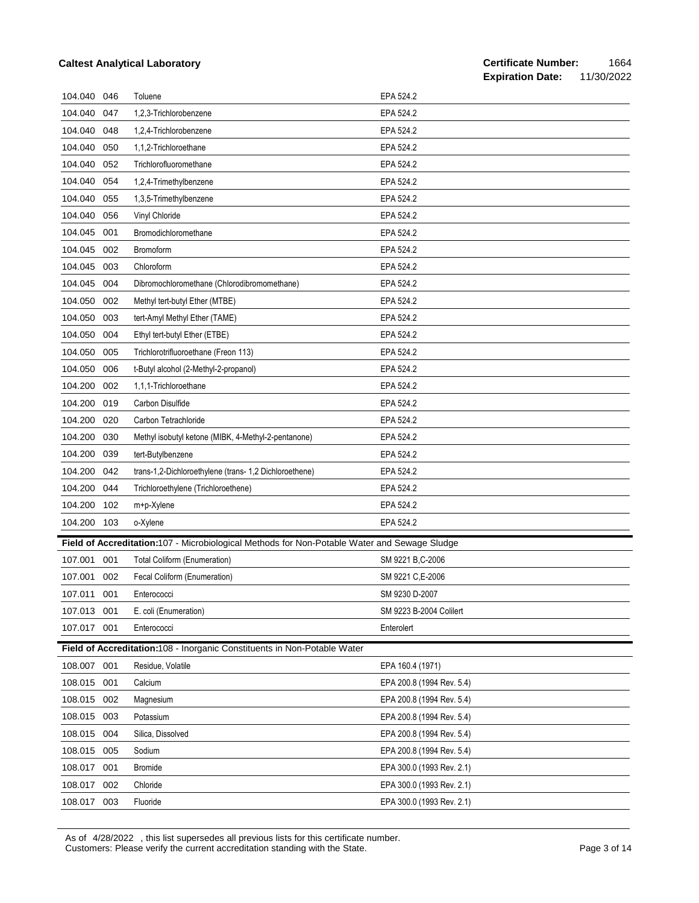| 104.040     | 046 | Toluene                                                                                       | EPA 524.2                 |
|-------------|-----|-----------------------------------------------------------------------------------------------|---------------------------|
| 104.040     | 047 | 1,2,3-Trichlorobenzene                                                                        | EPA 524.2                 |
| 104.040     | 048 | 1,2,4-Trichlorobenzene                                                                        | EPA 524.2                 |
| 104.040     | 050 | 1,1,2-Trichloroethane                                                                         | EPA 524.2                 |
| 104.040     | 052 | Trichlorofluoromethane                                                                        | EPA 524.2                 |
| 104.040     | 054 | 1,2,4-Trimethylbenzene                                                                        | EPA 524.2                 |
| 104.040     | 055 | 1,3,5-Trimethylbenzene                                                                        | EPA 524.2                 |
| 104.040     | 056 | Vinyl Chloride                                                                                | EPA 524.2                 |
| 104.045     | 001 | Bromodichloromethane                                                                          | EPA 524.2                 |
| 104.045     | 002 | <b>Bromoform</b>                                                                              | EPA 524.2                 |
| 104.045     | 003 | Chloroform                                                                                    | EPA 524.2                 |
| 104.045     | 004 | Dibromochloromethane (Chlorodibromomethane)                                                   | EPA 524.2                 |
| 104.050     | 002 | Methyl tert-butyl Ether (MTBE)                                                                | EPA 524.2                 |
| 104.050     | 003 | tert-Amyl Methyl Ether (TAME)                                                                 | EPA 524.2                 |
| 104.050     | 004 | Ethyl tert-butyl Ether (ETBE)                                                                 | EPA 524.2                 |
| 104.050     | 005 | Trichlorotrifluoroethane (Freon 113)                                                          | EPA 524.2                 |
| 104.050     | 006 | t-Butyl alcohol (2-Methyl-2-propanol)                                                         | EPA 524.2                 |
| 104.200     | 002 | 1,1,1-Trichloroethane                                                                         | EPA 524.2                 |
| 104.200     | 019 | Carbon Disulfide                                                                              | EPA 524.2                 |
| 104.200     | 020 | Carbon Tetrachloride                                                                          | EPA 524.2                 |
| 104.200     | 030 | Methyl isobutyl ketone (MIBK, 4-Methyl-2-pentanone)                                           | EPA 524.2                 |
| 104.200     | 039 | tert-Butylbenzene                                                                             | EPA 524.2                 |
| 104.200     | 042 | trans-1,2-Dichloroethylene (trans- 1,2 Dichloroethene)                                        | EPA 524.2                 |
| 104.200     | 044 | Trichloroethylene (Trichloroethene)                                                           | EPA 524.2                 |
| 104.200     | 102 | m+p-Xylene                                                                                    | EPA 524.2                 |
| 104.200     | 103 | o-Xylene                                                                                      | EPA 524.2                 |
|             |     | Field of Accreditation: 107 - Microbiological Methods for Non-Potable Water and Sewage Sludge |                           |
| 107.001     | 001 | <b>Total Coliform (Enumeration)</b>                                                           | SM 9221 B, C-2006         |
| 107.001     | 002 | Fecal Coliform (Enumeration)                                                                  | SM 9221 C,E-2006          |
| 107.011     | 001 | Enterococci                                                                                   | SM 9230 D-2007            |
| 107.013 001 |     | E. coli (Enumeration)                                                                         | SM 9223 B-2004 Colilert   |
| 107.017 001 |     | Enterococci                                                                                   | Enterolert                |
|             |     | Field of Accreditation:108 - Inorganic Constituents in Non-Potable Water                      |                           |
| 108.007 001 |     | Residue, Volatile                                                                             | EPA 160.4 (1971)          |
| 108.015     | 001 | Calcium                                                                                       | EPA 200.8 (1994 Rev. 5.4) |
| 108.015     | 002 | Magnesium                                                                                     | EPA 200.8 (1994 Rev. 5.4) |
| 108.015     | 003 | Potassium                                                                                     | EPA 200.8 (1994 Rev. 5.4) |
| 108.015     | 004 | Silica, Dissolved                                                                             | EPA 200.8 (1994 Rev. 5.4) |
| 108.015     | 005 | Sodium                                                                                        | EPA 200.8 (1994 Rev. 5.4) |
| 108.017     | 001 | <b>Bromide</b>                                                                                | EPA 300.0 (1993 Rev. 2.1) |
| 108.017     | 002 | Chloride                                                                                      | EPA 300.0 (1993 Rev. 2.1) |
| 108.017     | 003 | Fluoride                                                                                      | EPA 300.0 (1993 Rev. 2.1) |

As of 4/28/2022 , this list supersedes all previous lists for this certificate number. Customers: Please verify the current accreditation standing with the State. Page 3 of 14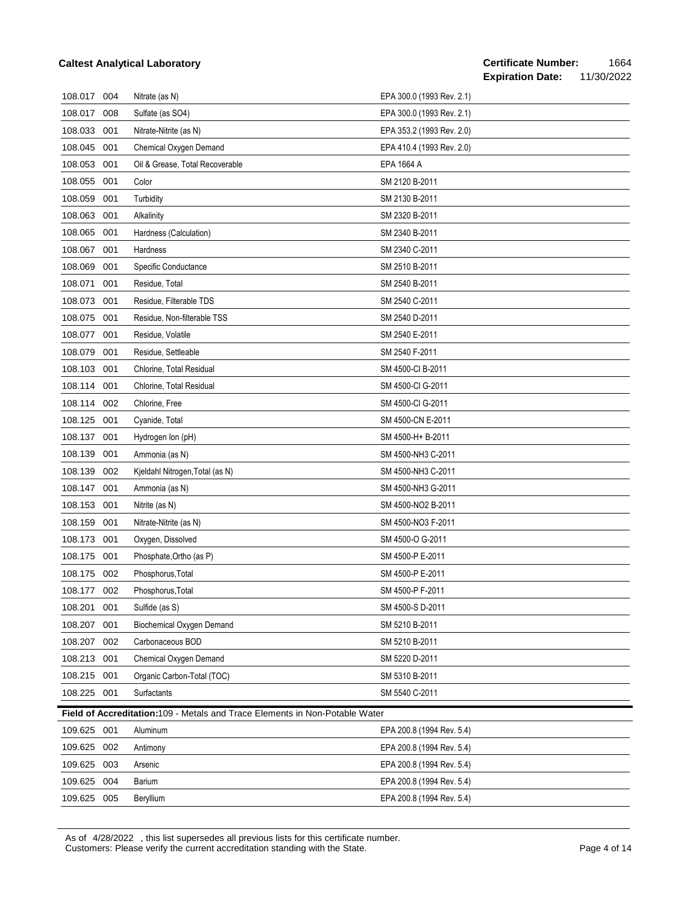| 108.017 004 |     | Nitrate (as N)                                                              | EPA 300.0 (1993 Rev. 2.1) |
|-------------|-----|-----------------------------------------------------------------------------|---------------------------|
| 108.017     | 008 | Sulfate (as SO4)                                                            | EPA 300.0 (1993 Rev. 2.1) |
| 108.033     | 001 | Nitrate-Nitrite (as N)                                                      | EPA 353.2 (1993 Rev. 2.0) |
| 108.045     | 001 | Chemical Oxygen Demand                                                      | EPA 410.4 (1993 Rev. 2.0) |
| 108.053     | 001 | Oil & Grease, Total Recoverable                                             | EPA 1664 A                |
| 108.055     | 001 | Color                                                                       | SM 2120 B-2011            |
| 108.059     | 001 | Turbidity                                                                   | SM 2130 B-2011            |
| 108.063     | 001 | Alkalinity                                                                  | SM 2320 B-2011            |
| 108.065     | 001 | Hardness (Calculation)                                                      | SM 2340 B-2011            |
| 108.067     | 001 | Hardness                                                                    | SM 2340 C-2011            |
| 108.069     | 001 | Specific Conductance                                                        | SM 2510 B-2011            |
| 108.071     | 001 | Residue, Total                                                              | SM 2540 B-2011            |
| 108.073     | 001 | Residue, Filterable TDS                                                     | SM 2540 C-2011            |
| 108.075     | 001 | Residue, Non-filterable TSS                                                 | SM 2540 D-2011            |
| 108.077     | 001 | Residue, Volatile                                                           | SM 2540 E-2011            |
| 108.079     | 001 | Residue, Settleable                                                         | SM 2540 F-2011            |
| 108.103     | 001 | Chlorine, Total Residual                                                    | SM 4500-CI B-2011         |
| 108.114 001 |     | Chlorine, Total Residual                                                    | SM 4500-CI G-2011         |
| 108.114     | 002 | Chlorine, Free                                                              | SM 4500-CI G-2011         |
| 108.125 001 |     | Cyanide, Total                                                              | SM 4500-CN E-2011         |
| 108.137     | 001 | Hydrogen Ion (pH)                                                           | SM 4500-H+ B-2011         |
| 108.139     | 001 | Ammonia (as N)                                                              | SM 4500-NH3 C-2011        |
| 108.139     | 002 | Kjeldahl Nitrogen, Total (as N)                                             | SM 4500-NH3 C-2011        |
| 108.147     | 001 | Ammonia (as N)                                                              | SM 4500-NH3 G-2011        |
| 108.153     | 001 | Nitrite (as N)                                                              | SM 4500-NO2 B-2011        |
| 108.159     | 001 | Nitrate-Nitrite (as N)                                                      | SM 4500-NO3 F-2011        |
| 108.173     | 001 | Oxygen, Dissolved                                                           | SM 4500-O G-2011          |
| 108.175     | 001 | Phosphate, Ortho (as P)                                                     | SM 4500-P E-2011          |
| 108.175     | 002 | Phosphorus, Total                                                           | SM 4500-P E-2011          |
| 108.177 002 |     | Phosphorus, Total                                                           | SM 4500-P F-2011          |
| 108.201 001 |     | Sulfide (as S)                                                              | SM 4500-S D-2011          |
| 108.207     | 001 | Biochemical Oxygen Demand                                                   | SM 5210 B-2011            |
| 108.207     | 002 | Carbonaceous BOD                                                            | SM 5210 B-2011            |
| 108.213     | 001 | Chemical Oxygen Demand                                                      | SM 5220 D-2011            |
| 108.215     | 001 | Organic Carbon-Total (TOC)                                                  | SM 5310 B-2011            |
| 108.225 001 |     | Surfactants                                                                 | SM 5540 C-2011            |
|             |     | Field of Accreditation:109 - Metals and Trace Elements in Non-Potable Water |                           |
| 109.625     | 001 | Aluminum                                                                    | EPA 200.8 (1994 Rev. 5.4) |
| 109.625     | 002 | Antimony                                                                    | EPA 200.8 (1994 Rev. 5.4) |
| 109.625     | 003 | Arsenic                                                                     | EPA 200.8 (1994 Rev. 5.4) |
| 109.625     | 004 | <b>Barium</b>                                                               | EPA 200.8 (1994 Rev. 5.4) |
| 109.625     | 005 | Beryllium                                                                   | EPA 200.8 (1994 Rev. 5.4) |

As of 4/28/2022 , this list supersedes all previous lists for this certificate number. Customers: Please verify the current accreditation standing with the State. Page 4 of 14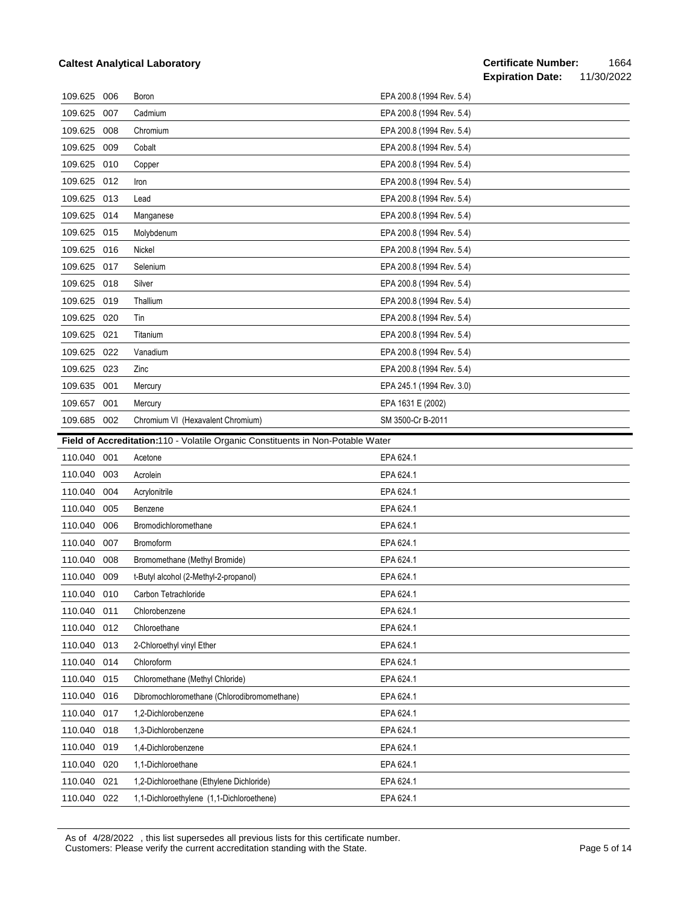| 109.625     | 006 | Boron                                                                           | EPA 200.8 (1994 Rev. 5.4) |
|-------------|-----|---------------------------------------------------------------------------------|---------------------------|
| 109.625     | 007 | Cadmium                                                                         | EPA 200.8 (1994 Rev. 5.4) |
| 109.625     | 008 | Chromium                                                                        | EPA 200.8 (1994 Rev. 5.4) |
| 109.625     | 009 | Cobalt                                                                          | EPA 200.8 (1994 Rev. 5.4) |
| 109.625     | 010 | Copper                                                                          | EPA 200.8 (1994 Rev. 5.4) |
| 109.625     | 012 | Iron                                                                            | EPA 200.8 (1994 Rev. 5.4) |
| 109.625     | 013 | Lead                                                                            | EPA 200.8 (1994 Rev. 5.4) |
| 109.625     | 014 | Manganese                                                                       | EPA 200.8 (1994 Rev. 5.4) |
| 109.625     | 015 | Molybdenum                                                                      | EPA 200.8 (1994 Rev. 5.4) |
| 109.625     | 016 | Nickel                                                                          | EPA 200.8 (1994 Rev. 5.4) |
| 109.625     | 017 | Selenium                                                                        | EPA 200.8 (1994 Rev. 5.4) |
| 109.625     | 018 | Silver                                                                          | EPA 200.8 (1994 Rev. 5.4) |
| 109.625     | 019 | Thallium                                                                        | EPA 200.8 (1994 Rev. 5.4) |
| 109.625     | 020 | Tin                                                                             | EPA 200.8 (1994 Rev. 5.4) |
| 109.625     | 021 | Titanium                                                                        | EPA 200.8 (1994 Rev. 5.4) |
| 109.625     | 022 | Vanadium                                                                        | EPA 200.8 (1994 Rev. 5.4) |
| 109.625     | 023 | Zinc                                                                            | EPA 200.8 (1994 Rev. 5.4) |
| 109.635 001 |     | Mercury                                                                         | EPA 245.1 (1994 Rev. 3.0) |
| 109.657     | 001 | Mercury                                                                         | EPA 1631 E (2002)         |
| 109.685 002 |     | Chromium VI (Hexavalent Chromium)                                               | SM 3500-Cr B-2011         |
|             |     | Field of Accreditation:110 - Volatile Organic Constituents in Non-Potable Water |                           |
| 110.040 001 |     | Acetone                                                                         | EPA 624.1                 |
| 110.040     | 003 | Acrolein                                                                        | EPA 624.1                 |
| 110.040     | 004 | Acrylonitrile                                                                   | EPA 624.1                 |
| 110.040     | 005 | Benzene                                                                         | EPA 624.1                 |
| 110.040     | 006 | Bromodichloromethane                                                            | EPA 624.1                 |
| 110.040     | 007 | <b>Bromoform</b>                                                                | EPA 624.1                 |
| 110.040     | 008 | Bromomethane (Methyl Bromide)                                                   | EPA 624.1                 |
| 110.040     | 009 | t-Butyl alcohol (2-Methyl-2-propanol)                                           | EPA 624.1                 |
| 110.040 010 |     | Carbon Tetrachloride                                                            | EPA 624.1                 |
| 110.040     | 011 | Chlorobenzene                                                                   | EPA 624.1                 |
| 110.040     | 012 | Chloroethane                                                                    | EPA 624.1                 |
| 110.040     | 013 | 2-Chloroethyl vinyl Ether                                                       | EPA 624.1                 |
| 110.040     | 014 | Chloroform                                                                      | EPA 624.1                 |
| 110.040     | 015 | Chloromethane (Methyl Chloride)                                                 | EPA 624.1                 |
| 110.040     | 016 | Dibromochloromethane (Chlorodibromomethane)                                     | EPA 624.1                 |
| 110.040     | 017 | 1,2-Dichlorobenzene                                                             | EPA 624.1                 |
| 110.040     | 018 | 1,3-Dichlorobenzene                                                             | EPA 624.1                 |
| 110.040     | 019 | 1,4-Dichlorobenzene                                                             | EPA 624.1                 |
| 110.040     | 020 | 1,1-Dichloroethane                                                              | EPA 624.1                 |
| 110.040     | 021 | 1,2-Dichloroethane (Ethylene Dichloride)                                        | EPA 624.1                 |
| 110.040     | 022 | 1,1-Dichloroethylene (1,1-Dichloroethene)                                       | EPA 624.1                 |

As of 4/28/2022 , this list supersedes all previous lists for this certificate number. Customers: Please verify the current accreditation standing with the State. Page 5 of 14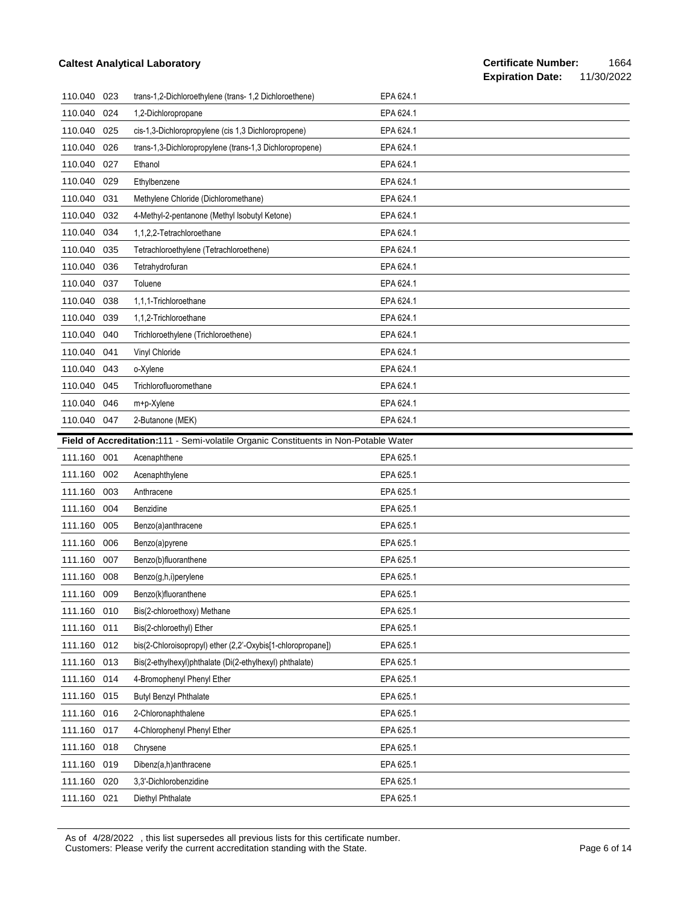| 110.040                                                                              | 023 | trans-1,2-Dichloroethylene (trans- 1,2 Dichloroethene)      | EPA 624.1 |  |
|--------------------------------------------------------------------------------------|-----|-------------------------------------------------------------|-----------|--|
| 110.040                                                                              | 024 | 1,2-Dichloropropane                                         | EPA 624.1 |  |
| 110.040                                                                              | 025 | cis-1,3-Dichloropropylene (cis 1,3 Dichloropropene)         | EPA 624.1 |  |
| 110.040                                                                              | 026 | trans-1,3-Dichloropropylene (trans-1,3 Dichloropropene)     | EPA 624.1 |  |
| 110.040                                                                              | 027 | Ethanol                                                     | EPA 624.1 |  |
| 110.040                                                                              | 029 | Ethylbenzene                                                | EPA 624.1 |  |
| 110.040                                                                              | 031 | Methylene Chloride (Dichloromethane)                        | EPA 624.1 |  |
| 110.040                                                                              | 032 | 4-Methyl-2-pentanone (Methyl Isobutyl Ketone)               | EPA 624.1 |  |
| 110.040                                                                              | 034 | 1,1,2,2-Tetrachloroethane                                   | EPA 624.1 |  |
| 110.040                                                                              | 035 | Tetrachloroethylene (Tetrachloroethene)                     | EPA 624.1 |  |
| 110.040                                                                              | 036 | Tetrahydrofuran                                             | EPA 624.1 |  |
| 110.040                                                                              | 037 | Toluene                                                     | EPA 624.1 |  |
| 110.040                                                                              | 038 | 1,1,1-Trichloroethane                                       | EPA 624.1 |  |
| 110.040                                                                              | 039 | 1,1,2-Trichloroethane                                       | EPA 624.1 |  |
| 110.040                                                                              | 040 | Trichloroethylene (Trichloroethene)                         | EPA 624.1 |  |
| 110.040                                                                              | 041 | Vinyl Chloride                                              | EPA 624.1 |  |
| 110.040                                                                              | 043 | o-Xylene                                                    | EPA 624.1 |  |
| 110.040                                                                              | 045 | Trichlorofluoromethane                                      | EPA 624.1 |  |
| 110.040                                                                              | 046 | m+p-Xylene                                                  | EPA 624.1 |  |
| 110.040 047                                                                          |     | 2-Butanone (MEK)                                            | EPA 624.1 |  |
| Field of Accreditation:111 - Semi-volatile Organic Constituents in Non-Potable Water |     |                                                             |           |  |
|                                                                                      |     |                                                             |           |  |
| 111.160                                                                              | 001 | Acenaphthene                                                | EPA 625.1 |  |
| 111.160                                                                              | 002 | Acenaphthylene                                              | EPA 625.1 |  |
| 111.160                                                                              | 003 | Anthracene                                                  | EPA 625.1 |  |
| 111.160                                                                              | 004 | Benzidine                                                   | EPA 625.1 |  |
| 111.160                                                                              | 005 | Benzo(a)anthracene                                          | EPA 625.1 |  |
| 111.160                                                                              | 006 | Benzo(a)pyrene                                              | EPA 625.1 |  |
| 111.160                                                                              | 007 | Benzo(b)fluoranthene                                        | EPA 625.1 |  |
| 111.160                                                                              | 008 | Benzo(g,h,i)perylene                                        | EPA 625.1 |  |
| 111.160                                                                              | 009 | Benzo(k)fluoranthene                                        | EPA 625.1 |  |
| 111.160 010                                                                          |     | Bis(2-chloroethoxy) Methane                                 | EPA 625.1 |  |
| 111.160                                                                              | 011 | Bis(2-chloroethyl) Ether                                    | EPA 625.1 |  |
| 111.160                                                                              | 012 | bis(2-Chloroisopropyl) ether (2,2'-Oxybis[1-chloropropane]) | EPA 625.1 |  |
| 111.160                                                                              | 013 | Bis(2-ethylhexyl)phthalate (Di(2-ethylhexyl) phthalate)     | EPA 625.1 |  |
| 111.160                                                                              | 014 | 4-Bromophenyl Phenyl Ether                                  | EPA 625.1 |  |
| 111.160                                                                              | 015 | <b>Butyl Benzyl Phthalate</b>                               | EPA 625.1 |  |
| 111.160                                                                              | 016 | 2-Chloronaphthalene                                         | EPA 625.1 |  |
| 111.160                                                                              | 017 | 4-Chlorophenyl Phenyl Ether                                 | EPA 625.1 |  |
| 111.160                                                                              | 018 | Chrysene                                                    | EPA 625.1 |  |
| 111.160                                                                              | 019 | Dibenz(a,h)anthracene                                       | EPA 625.1 |  |
| 111.160                                                                              | 020 | 3,3'-Dichlorobenzidine                                      | EPA 625.1 |  |

As of 4/28/2022 , this list supersedes all previous lists for this certificate number. Customers: Please verify the current accreditation standing with the State. Page 6 of 14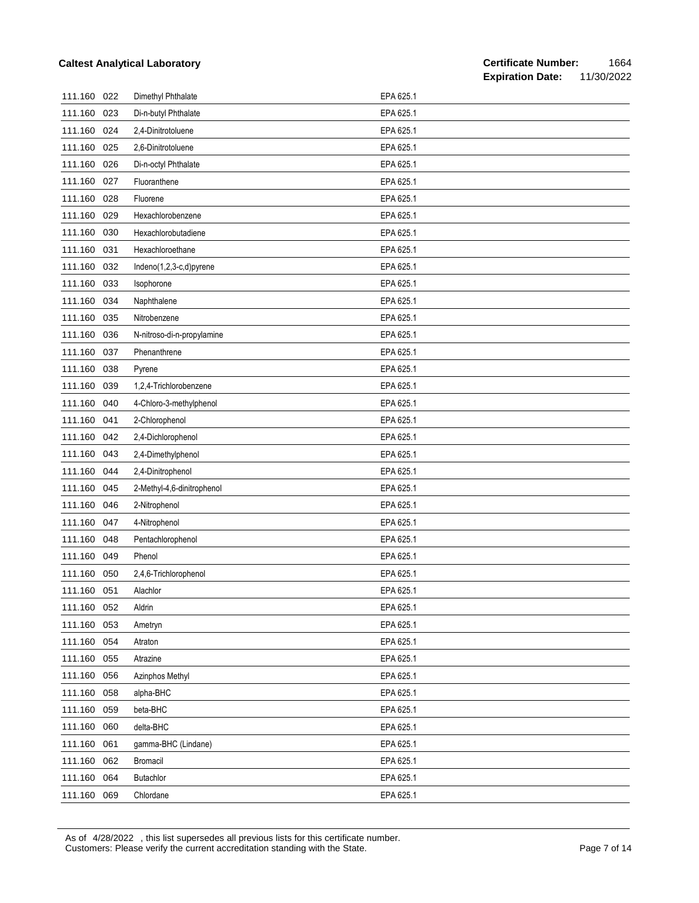| 111.160 022 |     | Dimethyl Phthalate         | EPA 625.1 |
|-------------|-----|----------------------------|-----------|
| 111.160     | 023 | Di-n-butyl Phthalate       | EPA 625.1 |
| 111.160     | 024 | 2,4-Dinitrotoluene         | EPA 625.1 |
| 111.160     | 025 | 2,6-Dinitrotoluene         | EPA 625.1 |
| 111.160     | 026 | Di-n-octyl Phthalate       | EPA 625.1 |
| 111.160     | 027 | Fluoranthene               | EPA 625.1 |
| 111.160     | 028 | Fluorene                   | EPA 625.1 |
| 111.160     | 029 | Hexachlorobenzene          | EPA 625.1 |
| 111.160     | 030 | Hexachlorobutadiene        | EPA 625.1 |
| 111.160     | 031 | Hexachloroethane           | EPA 625.1 |
| 111.160     | 032 | Indeno(1,2,3-c,d)pyrene    | EPA 625.1 |
| 111.160     | 033 | Isophorone                 | EPA 625.1 |
| 111.160     | 034 | Naphthalene                | EPA 625.1 |
| 111.160     | 035 | Nitrobenzene               | EPA 625.1 |
| 111.160     | 036 | N-nitroso-di-n-propylamine | EPA 625.1 |
| 111.160     | 037 | Phenanthrene               | EPA 625.1 |
| 111.160     | 038 | Pyrene                     | EPA 625.1 |
| 111.160     | 039 | 1,2,4-Trichlorobenzene     | EPA 625.1 |
| 111.160     | 040 | 4-Chloro-3-methylphenol    | EPA 625.1 |
| 111.160     | 041 | 2-Chlorophenol             | EPA 625.1 |
| 111.160     | 042 | 2,4-Dichlorophenol         | EPA 625.1 |
| 111.160     | 043 | 2,4-Dimethylphenol         | EPA 625.1 |
| 111.160     | 044 | 2,4-Dinitrophenol          | EPA 625.1 |
| 111.160     | 045 | 2-Methyl-4,6-dinitrophenol | EPA 625.1 |
| 111.160     | 046 | 2-Nitrophenol              | EPA 625.1 |
| 111.160     | 047 | 4-Nitrophenol              | EPA 625.1 |
| 111.160     | 048 | Pentachlorophenol          | EPA 625.1 |
| 111.160     | 049 | Phenol                     | EPA 625.1 |
| 111.160     | 050 | 2,4,6-Trichlorophenol      | EPA 625.1 |
| 111.160 051 |     | Alachlor                   | EPA 625.1 |
| 111.160 052 |     | Aldrin                     | EPA 625.1 |
| 111.160     | 053 | Ametryn                    | EPA 625.1 |
| 111.160     | 054 | Atraton                    | EPA 625.1 |
| 111.160     | 055 | Atrazine                   | EPA 625.1 |
| 111.160     | 056 | Azinphos Methyl            | EPA 625.1 |
| 111.160     | 058 | alpha-BHC                  | EPA 625.1 |
| 111.160     | 059 | beta-BHC                   | EPA 625.1 |
| 111.160     | 060 | delta-BHC                  | EPA 625.1 |
| 111.160     | 061 | gamma-BHC (Lindane)        | EPA 625.1 |
| 111.160     | 062 | <b>Bromacil</b>            | EPA 625.1 |
| 111.160     | 064 | Butachlor                  | EPA 625.1 |
| 111.160 069 |     | Chlordane                  | EPA 625.1 |

As of 4/28/2022 , this list supersedes all previous lists for this certificate number. Customers: Please verify the current accreditation standing with the State. Page 7 of 14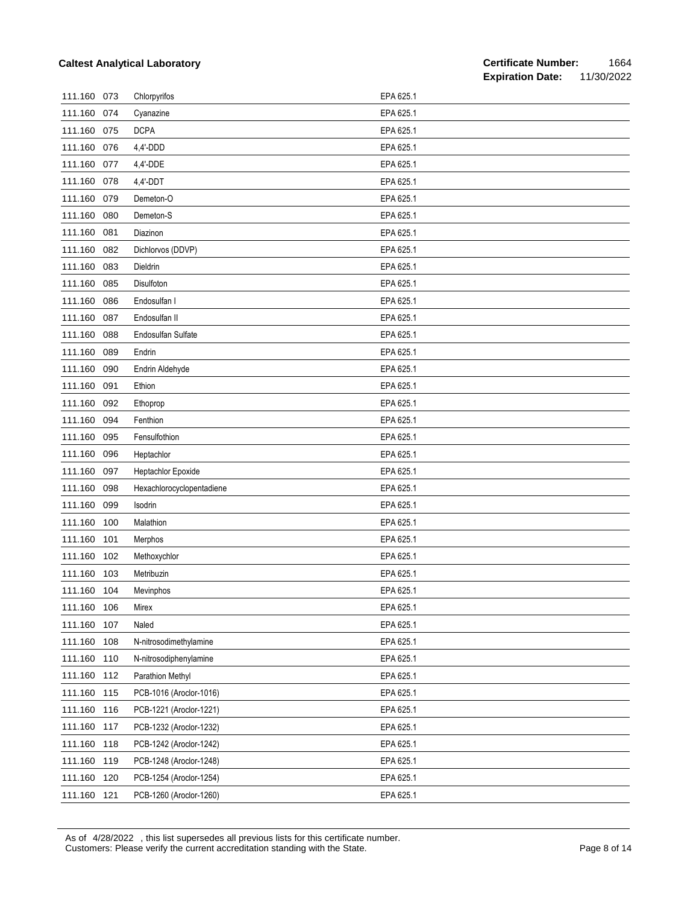| 111.160 073 |     | Chlorpyrifos              | EPA 625.1 |
|-------------|-----|---------------------------|-----------|
| 111.160     | 074 | Cyanazine                 | EPA 625.1 |
| 111.160     | 075 | <b>DCPA</b>               | EPA 625.1 |
| 111.160     | 076 | 4,4'-DDD                  | EPA 625.1 |
| 111.160     | 077 | 4,4'-DDE                  | EPA 625.1 |
| 111.160     | 078 | 4,4'-DDT                  | EPA 625.1 |
| 111.160     | 079 | Demeton-O                 | EPA 625.1 |
| 111.160     | 080 | Demeton-S                 | EPA 625.1 |
| 111.160     | 081 | Diazinon                  | EPA 625.1 |
| 111.160     | 082 | Dichlorvos (DDVP)         | EPA 625.1 |
| 111.160     | 083 | Dieldrin                  | EPA 625.1 |
| 111.160     | 085 | Disulfoton                | EPA 625.1 |
| 111.160     | 086 | Endosulfan I              | EPA 625.1 |
| 111.160     | 087 | Endosulfan II             | EPA 625.1 |
| 111.160     | 088 | Endosulfan Sulfate        | EPA 625.1 |
| 111.160     | 089 | Endrin                    | EPA 625.1 |
| 111.160     | 090 | Endrin Aldehyde           | EPA 625.1 |
| 111.160     | 091 | Ethion                    | EPA 625.1 |
| 111.160     | 092 | Ethoprop                  | EPA 625.1 |
| 111.160     | 094 | Fenthion                  | EPA 625.1 |
| 111.160     | 095 | Fensulfothion             | EPA 625.1 |
| 111.160     | 096 | Heptachlor                | EPA 625.1 |
| 111.160     | 097 | Heptachlor Epoxide        | EPA 625.1 |
| 111.160     | 098 | Hexachlorocyclopentadiene | EPA 625.1 |
| 111.160     | 099 | Isodrin                   | EPA 625.1 |
| 111.160     | 100 | Malathion                 | EPA 625.1 |
| 111.160     | 101 | Merphos                   | EPA 625.1 |
| 111.160     | 102 | Methoxychlor              | EPA 625.1 |
| 111.160     | 103 | Metribuzin                | EPA 625.1 |
| 111.160 104 |     | Mevinphos                 | EPA 625.1 |
| 111.160 106 |     | Mirex                     | EPA 625.1 |
| 111.160     | 107 | Naled                     | EPA 625.1 |
| 111.160     | 108 | N-nitrosodimethylamine    | EPA 625.1 |
| 111.160     | 110 | N-nitrosodiphenylamine    | EPA 625.1 |
| 111.160     | 112 | Parathion Methyl          | EPA 625.1 |
| 111.160     | 115 | PCB-1016 (Aroclor-1016)   | EPA 625.1 |
| 111.160     | 116 | PCB-1221 (Aroclor-1221)   | EPA 625.1 |
| 111.160     | 117 | PCB-1232 (Aroclor-1232)   | EPA 625.1 |
| 111.160     | 118 | PCB-1242 (Aroclor-1242)   | EPA 625.1 |
| 111.160     | 119 | PCB-1248 (Aroclor-1248)   | EPA 625.1 |
| 111.160     | 120 | PCB-1254 (Aroclor-1254)   | EPA 625.1 |
| 111.160     | 121 | PCB-1260 (Aroclor-1260)   | EPA 625.1 |

As of 4/28/2022 , this list supersedes all previous lists for this certificate number. Customers: Please verify the current accreditation standing with the State. Page 8 of 14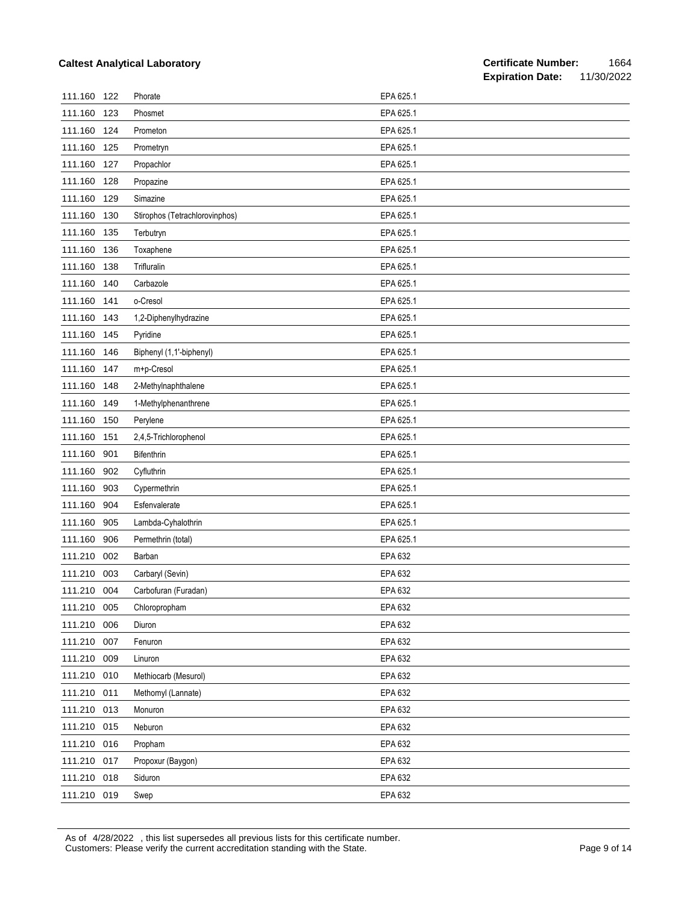| 111.160     | 122 | Phorate                        | EPA 625.1 |
|-------------|-----|--------------------------------|-----------|
| 111.160     | 123 | Phosmet                        | EPA 625.1 |
| 111.160     | 124 | Prometon                       | EPA 625.1 |
| 111.160     | 125 | Prometryn                      | EPA 625.1 |
| 111.160     | 127 | Propachlor                     | EPA 625.1 |
| 111.160     | 128 | Propazine                      | EPA 625.1 |
| 111.160     | 129 | Simazine                       | EPA 625.1 |
| 111.160     | 130 | Stirophos (Tetrachlorovinphos) | EPA 625.1 |
| 111.160     | 135 | Terbutryn                      | EPA 625.1 |
| 111.160     | 136 | Toxaphene                      | EPA 625.1 |
| 111.160     | 138 | Trifluralin                    | EPA 625.1 |
| 111.160     | 140 | Carbazole                      | EPA 625.1 |
| 111.160     | 141 | o-Cresol                       | EPA 625.1 |
| 111.160     | 143 | 1,2-Diphenylhydrazine          | EPA 625.1 |
| 111.160     | 145 | Pyridine                       | EPA 625.1 |
| 111.160     | 146 | Biphenyl (1,1'-biphenyl)       | EPA 625.1 |
| 111.160     | 147 | m+p-Cresol                     | EPA 625.1 |
| 111.160     | 148 | 2-Methylnaphthalene            | EPA 625.1 |
| 111.160     | 149 | 1-Methylphenanthrene           | EPA 625.1 |
| 111.160     | 150 | Perylene                       | EPA 625.1 |
| 111.160     | 151 | 2,4,5-Trichlorophenol          | EPA 625.1 |
| 111.160     | 901 | <b>Bifenthrin</b>              | EPA 625.1 |
| 111.160     | 902 | Cyfluthrin                     | EPA 625.1 |
| 111.160     | 903 | Cypermethrin                   | EPA 625.1 |
| 111.160     | 904 | Esfenvalerate                  | EPA 625.1 |
| 111.160     | 905 | Lambda-Cyhalothrin             | EPA 625.1 |
| 111.160     | 906 | Permethrin (total)             | EPA 625.1 |
| 111.210     | 002 | Barban                         | EPA 632   |
| 111.210     | 003 | Carbaryl (Sevin)               | EPA 632   |
| 111.210 004 |     | Carbofuran (Furadan)           | EPA 632   |
| 111.210 005 |     | Chloropropham                  | EPA 632   |
| 111.210 006 |     | Diuron                         | EPA 632   |
| 111.210 007 |     | Fenuron                        | EPA 632   |
| 111.210     | 009 | Linuron                        | EPA 632   |
| 111.210 010 |     | Methiocarb (Mesurol)           | EPA 632   |
| 111.210 011 |     | Methomyl (Lannate)             | EPA 632   |
| 111.210 013 |     | Monuron                        | EPA 632   |
| 111.210 015 |     | Neburon                        | EPA 632   |
| 111.210 016 |     | Propham                        | EPA 632   |
| 111.210 017 |     | Propoxur (Baygon)              | EPA 632   |
| 111.210 018 |     | Siduron                        | EPA 632   |
| 111.210 019 |     | Swep                           | EPA 632   |

As of 4/28/2022 , this list supersedes all previous lists for this certificate number. Customers: Please verify the current accreditation standing with the State. Page 9 of 14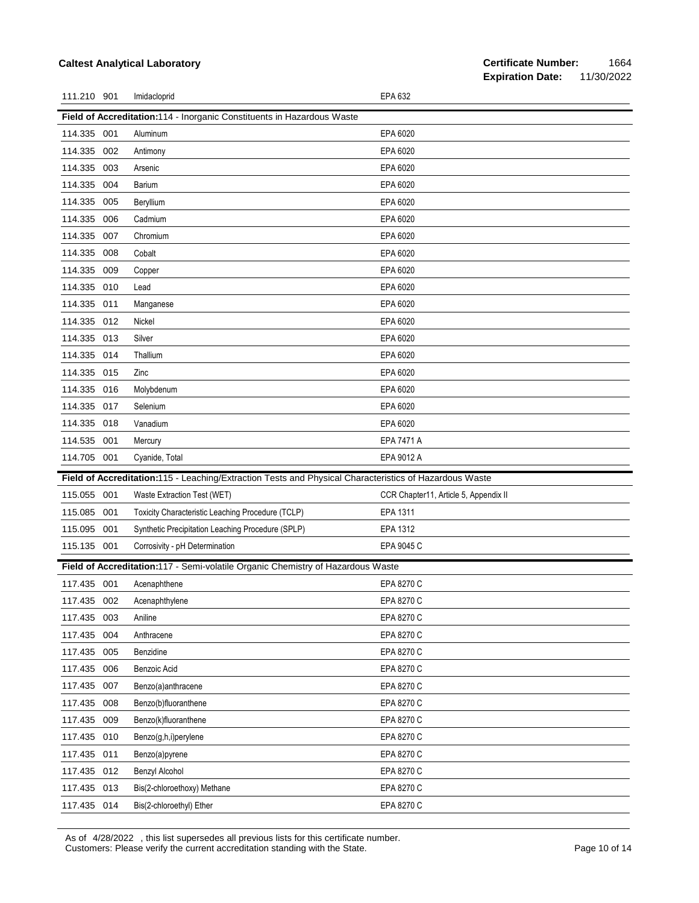| 111.210 901 |     | Imidacloprid                                                                                           | EPA 632                               |
|-------------|-----|--------------------------------------------------------------------------------------------------------|---------------------------------------|
|             |     | Field of Accreditation:114 - Inorganic Constituents in Hazardous Waste                                 |                                       |
| 114.335 001 |     | Aluminum                                                                                               | EPA 6020                              |
| 114.335     | 002 | Antimony                                                                                               | EPA 6020                              |
| 114.335     | 003 | Arsenic                                                                                                | EPA 6020                              |
| 114.335     | 004 | Barium                                                                                                 | EPA 6020                              |
| 114.335     | 005 | Beryllium                                                                                              | EPA 6020                              |
| 114.335     | 006 | Cadmium                                                                                                | EPA 6020                              |
| 114.335     | 007 | Chromium                                                                                               | EPA 6020                              |
| 114.335     | 008 | Cobalt                                                                                                 | EPA 6020                              |
| 114.335     | 009 | Copper                                                                                                 | EPA 6020                              |
| 114.335     | 010 | Lead                                                                                                   | EPA 6020                              |
| 114.335     | 011 | Manganese                                                                                              | EPA 6020                              |
| 114.335     | 012 | Nickel                                                                                                 | EPA 6020                              |
| 114.335 013 |     | Silver                                                                                                 | EPA 6020                              |
| 114.335     | 014 | Thallium                                                                                               | EPA 6020                              |
| 114.335     | 015 | Zinc                                                                                                   | EPA 6020                              |
| 114.335     | 016 | Molybdenum                                                                                             | EPA 6020                              |
| 114.335     | 017 | Selenium                                                                                               | EPA 6020                              |
| 114.335     | 018 | Vanadium                                                                                               | EPA 6020                              |
| 114.535     | 001 | Mercury                                                                                                | EPA 7471 A                            |
|             |     |                                                                                                        |                                       |
| 114.705 001 |     | Cyanide, Total                                                                                         | EPA 9012 A                            |
|             |     | Field of Accreditation:115 - Leaching/Extraction Tests and Physical Characteristics of Hazardous Waste |                                       |
| 115.055     | 001 | Waste Extraction Test (WET)                                                                            | CCR Chapter11, Article 5, Appendix II |
| 115.085     | 001 | Toxicity Characteristic Leaching Procedure (TCLP)                                                      | EPA 1311                              |
| 115.095     | 001 | Synthetic Precipitation Leaching Procedure (SPLP)                                                      | EPA 1312                              |
| 115.135 001 |     | Corrosivity - pH Determination                                                                         | EPA 9045 C                            |
|             |     | Field of Accreditation:117 - Semi-volatile Organic Chemistry of Hazardous Waste                        |                                       |
| 117.435 001 |     | Acenaphthene                                                                                           | EPA 8270 C                            |
|             |     | 117.435 002 Acenaphthylene                                                                             | EPA 8270 C                            |
| 117.435     | 003 | Aniline                                                                                                | EPA 8270 C                            |
| 117.435     | 004 | Anthracene                                                                                             | EPA 8270 C                            |
| 117.435     | 005 | Benzidine                                                                                              | EPA 8270 C                            |
| 117.435     | 006 | Benzoic Acid                                                                                           | EPA 8270 C                            |
| 117.435     | 007 | Benzo(a)anthracene                                                                                     | EPA 8270 C                            |
| 117.435     | 008 | Benzo(b)fluoranthene                                                                                   | EPA 8270 C                            |
| 117.435     | 009 | Benzo(k)fluoranthene                                                                                   | EPA 8270 C                            |
| 117.435     | 010 | Benzo(g,h,i)perylene                                                                                   | EPA 8270 C                            |
| 117.435     | 011 | Benzo(a)pyrene                                                                                         | EPA 8270 C                            |
| 117.435     | 012 | Benzyl Alcohol                                                                                         | EPA 8270 C                            |
| 117.435     | 013 | Bis(2-chloroethoxy) Methane                                                                            | EPA 8270 C                            |

As of 4/28/2022 , this list supersedes all previous lists for this certificate number. Customers: Please verify the current accreditation standing with the State. Customers: Please 10 of 14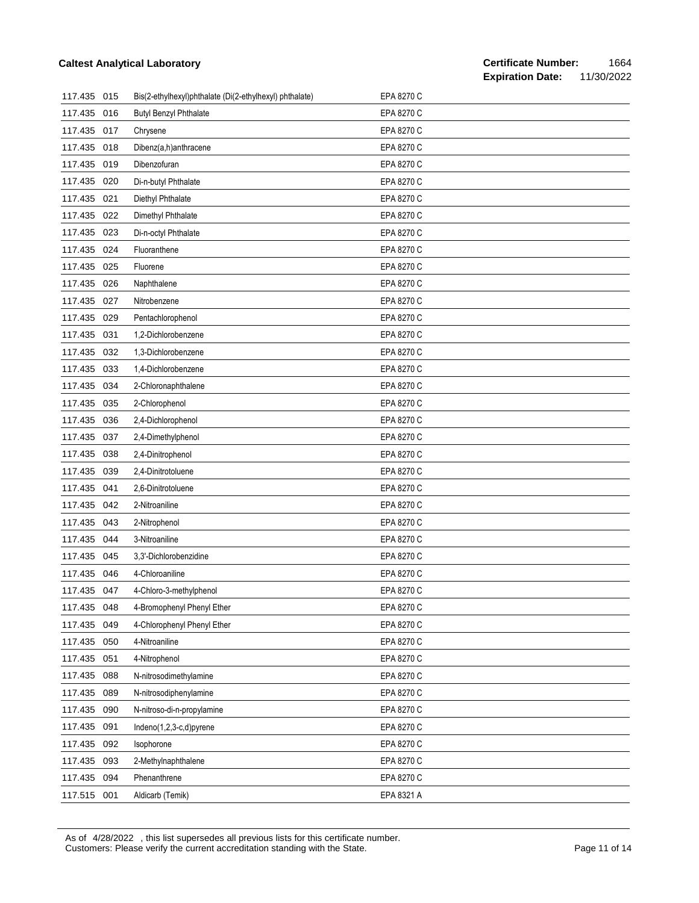| 117.435     | 015 | Bis(2-ethylhexyl)phthalate (Di(2-ethylhexyl) phthalate) | EPA 8270 C |
|-------------|-----|---------------------------------------------------------|------------|
| 117.435     | 016 | <b>Butyl Benzyl Phthalate</b>                           | EPA 8270 C |
| 117.435     | 017 | Chrysene                                                | EPA 8270 C |
| 117.435     | 018 | Dibenz(a,h)anthracene                                   | EPA 8270 C |
| 117.435     | 019 | Dibenzofuran                                            | EPA 8270 C |
| 117.435 020 |     | Di-n-butyl Phthalate                                    | EPA 8270 C |
| 117.435     | 021 | Diethyl Phthalate                                       | EPA 8270 C |
| 117.435     | 022 | Dimethyl Phthalate                                      | EPA 8270 C |
| 117.435     | 023 | Di-n-octyl Phthalate                                    | EPA 8270 C |
| 117.435 024 |     | Fluoranthene                                            | EPA 8270 C |
| 117.435     | 025 | Fluorene                                                | EPA 8270 C |
| 117.435     | 026 | Naphthalene                                             | EPA 8270 C |
| 117.435     | 027 | Nitrobenzene                                            | EPA 8270 C |
| 117.435     | 029 | Pentachlorophenol                                       | EPA 8270 C |
| 117.435     | 031 | 1,2-Dichlorobenzene                                     | EPA 8270 C |
| 117.435     | 032 | 1,3-Dichlorobenzene                                     | EPA 8270 C |
| 117.435     | 033 | 1,4-Dichlorobenzene                                     | EPA 8270 C |
| 117.435     | 034 | 2-Chloronaphthalene                                     | EPA 8270 C |
| 117.435     | 035 | 2-Chlorophenol                                          | EPA 8270 C |
| 117.435     | 036 | 2,4-Dichlorophenol                                      | EPA 8270 C |
| 117.435     | 037 | 2,4-Dimethylphenol                                      | EPA 8270 C |
| 117.435     | 038 | 2,4-Dinitrophenol                                       | EPA 8270 C |
| 117.435     | 039 | 2,4-Dinitrotoluene                                      | EPA 8270 C |
| 117.435     | 041 | 2,6-Dinitrotoluene                                      | EPA 8270 C |
| 117.435     | 042 | 2-Nitroaniline                                          | EPA 8270 C |
| 117.435     | 043 | 2-Nitrophenol                                           | EPA 8270 C |
| 117.435     | 044 | 3-Nitroaniline                                          | EPA 8270 C |
| 117.435     | 045 | 3,3'-Dichlorobenzidine                                  | EPA 8270 C |
| 117.435     | 046 | 4-Chloroaniline                                         | EPA 8270 C |
| 117.435 047 |     | 4-Chloro-3-methylphenol                                 | EPA 8270 C |
| 117.435 048 |     | 4-Bromophenyl Phenyl Ether                              | EPA 8270 C |
| 117.435 049 |     | 4-Chlorophenyl Phenyl Ether                             | EPA 8270 C |
| 117.435     | 050 | 4-Nitroaniline                                          | EPA 8270 C |
| 117.435 051 |     | 4-Nitrophenol                                           | EPA 8270 C |
| 117.435     | 088 | N-nitrosodimethylamine                                  | EPA 8270 C |
| 117.435     | 089 | N-nitrosodiphenylamine                                  | EPA 8270 C |
| 117.435     | 090 | N-nitroso-di-n-propylamine                              | EPA 8270 C |
| 117.435     | 091 | Indeno(1,2,3-c,d)pyrene                                 | EPA 8270 C |
| 117.435     | 092 | Isophorone                                              | EPA 8270 C |
| 117.435 093 |     | 2-Methylnaphthalene                                     | EPA 8270 C |
| 117.435     | 094 | Phenanthrene                                            | EPA 8270 C |
| 117.515 001 |     | Aldicarb (Temik)                                        | EPA 8321 A |

As of 4/28/2022 , this list supersedes all previous lists for this certificate number. Customers: Please verify the current accreditation standing with the State. Customers: Please 11 of 14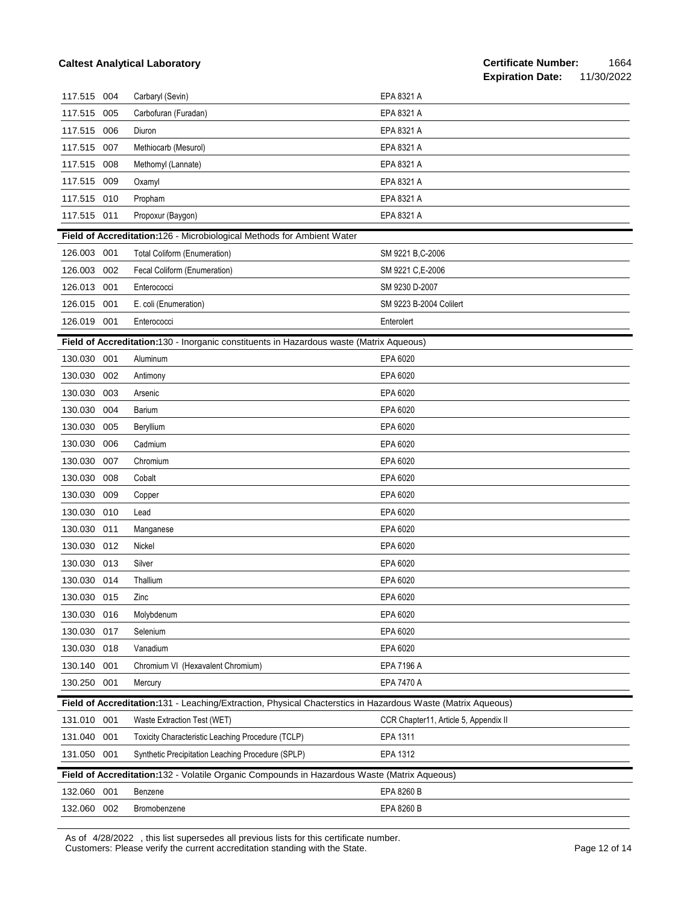| 117.515 004 |     | Carbaryl (Sevin)                                                                                            | EPA 8321 A                            |
|-------------|-----|-------------------------------------------------------------------------------------------------------------|---------------------------------------|
| 117.515 005 |     | Carbofuran (Furadan)                                                                                        | EPA 8321 A                            |
| 117.515     | 006 | Diuron                                                                                                      | EPA 8321 A                            |
| 117.515     | 007 | Methiocarb (Mesurol)                                                                                        | EPA 8321 A                            |
| 117.515     | 008 | Methomyl (Lannate)                                                                                          | EPA 8321 A                            |
| 117.515     | 009 | Oxamyl                                                                                                      | EPA 8321 A                            |
| 117.515     | 010 | Propham                                                                                                     | EPA 8321 A                            |
| 117.515 011 |     | Propoxur (Baygon)                                                                                           | EPA 8321 A                            |
|             |     | Field of Accreditation:126 - Microbiological Methods for Ambient Water                                      |                                       |
| 126.003     | 001 | <b>Total Coliform (Enumeration)</b>                                                                         | SM 9221 B, C-2006                     |
| 126.003     | 002 | Fecal Coliform (Enumeration)                                                                                | SM 9221 C,E-2006                      |
| 126.013     | 001 | Enterococci                                                                                                 | SM 9230 D-2007                        |
| 126.015     | 001 | E. coli (Enumeration)                                                                                       | SM 9223 B-2004 Colilert               |
| 126.019 001 |     | Enterococci                                                                                                 | Enterolert                            |
|             |     | Field of Accreditation:130 - Inorganic constituents in Hazardous waste (Matrix Aqueous)                     |                                       |
| 130.030 001 |     | Aluminum                                                                                                    | EPA 6020                              |
| 130.030     | 002 | Antimony                                                                                                    | EPA 6020                              |
| 130.030     | 003 | Arsenic                                                                                                     | EPA 6020                              |
| 130.030     | 004 | Barium                                                                                                      | EPA 6020                              |
| 130.030     | 005 | Beryllium                                                                                                   | EPA 6020                              |
| 130.030     | 006 | Cadmium                                                                                                     | EPA 6020                              |
| 130.030     | 007 | Chromium                                                                                                    | EPA 6020                              |
| 130.030     | 008 | Cobalt                                                                                                      | EPA 6020                              |
| 130.030     | 009 | Copper                                                                                                      | EPA 6020                              |
| 130.030     | 010 | Lead                                                                                                        | EPA 6020                              |
| 130.030     | 011 | Manganese                                                                                                   | EPA 6020                              |
| 130.030     | 012 | Nickel                                                                                                      | EPA 6020                              |
| 130.030     | 013 | Silver                                                                                                      | EPA 6020                              |
| 130.030     | 014 | Thallium                                                                                                    | EPA 6020                              |
| 130.030 015 |     | Zinc                                                                                                        | EPA 6020                              |
| 130.030 016 |     | Molybdenum                                                                                                  | EPA 6020                              |
| 130.030     | 017 | Selenium                                                                                                    | EPA 6020                              |
| 130.030     | 018 | Vanadium                                                                                                    | EPA 6020                              |
| 130.140     | 001 | Chromium VI (Hexavalent Chromium)                                                                           | EPA 7196 A                            |
| 130.250     | 001 | Mercury                                                                                                     | EPA 7470 A                            |
|             |     | Field of Accreditation:131 - Leaching/Extraction, Physical Chacterstics in Hazardous Waste (Matrix Aqueous) |                                       |
| 131.010 001 |     | Waste Extraction Test (WET)                                                                                 | CCR Chapter11, Article 5, Appendix II |
| 131.040     | 001 | Toxicity Characteristic Leaching Procedure (TCLP)                                                           | EPA 1311                              |
| 131.050     | 001 | Synthetic Precipitation Leaching Procedure (SPLP)                                                           | EPA 1312                              |
|             |     | Field of Accreditation:132 - Volatile Organic Compounds in Hazardous Waste (Matrix Aqueous)                 |                                       |
| 132.060     | 001 | Benzene                                                                                                     | EPA 8260 B                            |
| 132.060     | 002 | Bromobenzene                                                                                                | EPA 8260 B                            |

As of 4/28/2022 , this list supersedes all previous lists for this certificate number. Customers: Please verify the current accreditation standing with the State. Customers: Please 12 of 14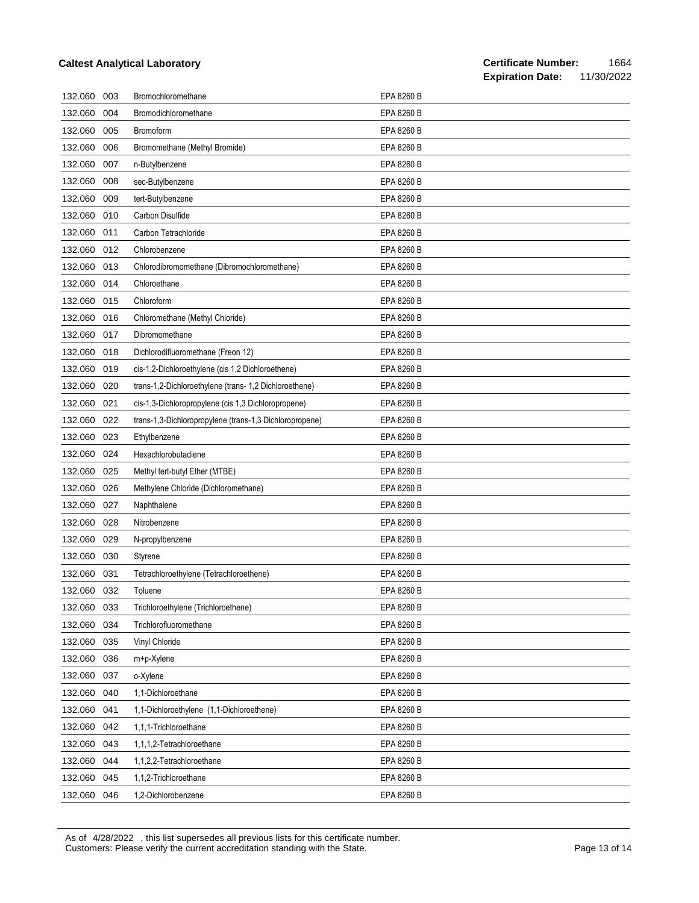| 132.060 | 003 | Bromochloromethane                                      | EPA 8260 B |
|---------|-----|---------------------------------------------------------|------------|
| 132.060 | 004 | Bromodichloromethane                                    | EPA 8260 B |
| 132.060 | 005 | <b>Bromoform</b>                                        | EPA 8260 B |
| 132.060 | 006 | Bromomethane (Methyl Bromide)                           | EPA 8260 B |
| 132.060 | 007 | n-Butylbenzene                                          | EPA 8260 B |
| 132.060 | 008 | sec-Butylbenzene                                        | EPA 8260 B |
| 132.060 | 009 | tert-Butylbenzene                                       | EPA 8260 B |
| 132.060 | 010 | Carbon Disulfide                                        | EPA 8260 B |
| 132.060 | 011 | Carbon Tetrachloride                                    | EPA 8260 B |
| 132.060 | 012 | Chlorobenzene                                           | EPA 8260 B |
| 132.060 | 013 | Chlorodibromomethane (Dibromochloromethane)             | EPA 8260 B |
| 132.060 | 014 | Chloroethane                                            | EPA 8260 B |
| 132.060 | 015 | Chloroform                                              | EPA 8260 B |
| 132.060 | 016 | Chloromethane (Methyl Chloride)                         | EPA 8260 B |
| 132.060 | 017 | Dibromomethane                                          | EPA 8260 B |
| 132.060 | 018 | Dichlorodifluoromethane (Freon 12)                      | EPA 8260 B |
| 132.060 | 019 | cis-1,2-Dichloroethylene (cis 1,2 Dichloroethene)       | EPA 8260 B |
| 132.060 | 020 | trans-1,2-Dichloroethylene (trans-1,2 Dichloroethene)   | EPA 8260 B |
| 132.060 | 021 | cis-1,3-Dichloropropylene (cis 1,3 Dichloropropene)     | EPA 8260 B |
| 132.060 | 022 | trans-1,3-Dichloropropylene (trans-1,3 Dichloropropene) | EPA 8260 B |
| 132.060 | 023 | Ethylbenzene                                            | EPA 8260 B |
| 132.060 | 024 | Hexachlorobutadiene                                     | EPA 8260 B |
| 132.060 | 025 | Methyl tert-butyl Ether (MTBE)                          | EPA 8260 B |
| 132.060 | 026 | Methylene Chloride (Dichloromethane)                    | EPA 8260 B |
| 132.060 | 027 | Naphthalene                                             | EPA 8260 B |
| 132.060 | 028 | Nitrobenzene                                            | EPA 8260 B |
| 132.060 | 029 | N-propylbenzene                                         | EPA 8260 B |
| 132.060 | 030 | Styrene                                                 | EPA 8260 B |
| 132.060 | 031 | Tetrachloroethylene (Tetrachloroethene)                 | EPA 8260 B |
| 132.060 | 032 | Toluene                                                 | EPA 8260 B |
| 132.060 | 033 | Trichloroethylene (Trichloroethene)                     | EPA 8260 B |
| 132.060 | 034 | Trichlorofluoromethane                                  | EPA 8260 B |
| 132.060 | 035 | Vinyl Chloride                                          | EPA 8260 B |
| 132.060 | 036 | m+p-Xylene                                              | EPA 8260 B |
| 132.060 | 037 | o-Xylene                                                | EPA 8260 B |
| 132.060 | 040 | 1,1-Dichloroethane                                      | EPA 8260 B |
| 132.060 | 041 | 1,1-Dichloroethylene (1,1-Dichloroethene)               | EPA 8260 B |
| 132.060 | 042 | 1,1,1-Trichloroethane                                   | EPA 8260 B |
| 132.060 | 043 | 1,1,1,2-Tetrachloroethane                               | EPA 8260 B |
| 132.060 | 044 | 1,1,2,2-Tetrachloroethane                               | EPA 8260 B |
| 132.060 | 045 | 1,1,2-Trichloroethane                                   | EPA 8260 B |
| 132.060 | 046 | 1,2-Dichlorobenzene                                     | EPA 8260 B |

As of 4/28/2022 , this list supersedes all previous lists for this certificate number. Customers: Please verify the current accreditation standing with the State. Customers: Please 13 of 14